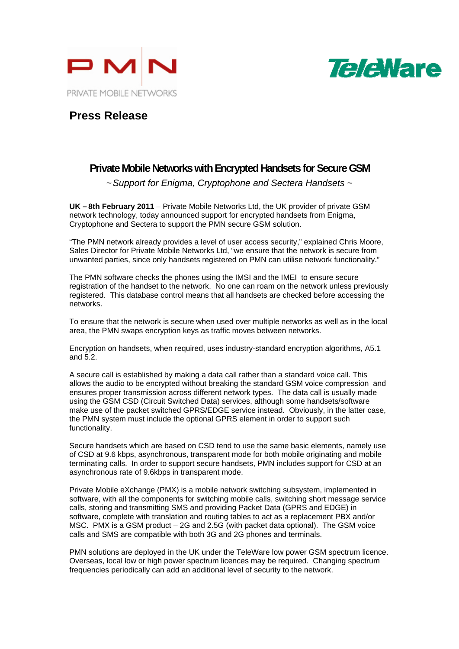



## **Press Release**

## **Private Mobile Networks with Encrypted Handsets for Secure GSM**

*~ Support for Enigma, Cryptophone and Sectera Handsets ~* 

**UK – 8th February 2011** – Private Mobile Networks Ltd, the UK provider of private GSM network technology, today announced support for encrypted handsets from Enigma, Cryptophone and Sectera to support the PMN secure GSM solution.

"The PMN network already provides a level of user access security," explained Chris Moore, Sales Director for Private Mobile Networks Ltd, "we ensure that the network is secure from unwanted parties, since only handsets registered on PMN can utilise network functionality."

The PMN software checks the phones using the IMSI and the IMEI to ensure secure registration of the handset to the network. No one can roam on the network unless previously registered. This database control means that all handsets are checked before accessing the networks.

To ensure that the network is secure when used over multiple networks as well as in the local area, the PMN swaps encryption keys as traffic moves between networks.

Encryption on handsets, when required, uses industry-standard encryption algorithms, A5.1 and 5.2.

A secure call is established by making a data call rather than a standard voice call. This allows the audio to be encrypted without breaking the standard GSM voice compression and ensures proper transmission across different network types. The data call is usually made using the GSM CSD (Circuit Switched Data) services, although some handsets/software make use of the packet switched GPRS/EDGE service instead. Obviously, in the latter case, the PMN system must include the optional GPRS element in order to support such functionality.

Secure handsets which are based on CSD tend to use the same basic elements, namely use of CSD at 9.6 kbps, asynchronous, transparent mode for both mobile originating and mobile terminating calls. In order to support secure handsets, PMN includes support for CSD at an asynchronous rate of 9.6kbps in transparent mode.

Private Mobile eXchange (PMX) is a mobile network switching subsystem, implemented in software, with all the components for switching mobile calls, switching short message service calls, storing and transmitting SMS and providing Packet Data (GPRS and EDGE) in software, complete with translation and routing tables to act as a replacement PBX and/or MSC. PMX is a GSM product – 2G and 2.5G (with packet data optional). The GSM voice calls and SMS are compatible with both 3G and 2G phones and terminals.

PMN solutions are deployed in the UK under the TeleWare low power GSM spectrum licence. Overseas, local low or high power spectrum licences may be required. Changing spectrum frequencies periodically can add an additional level of security to the network.